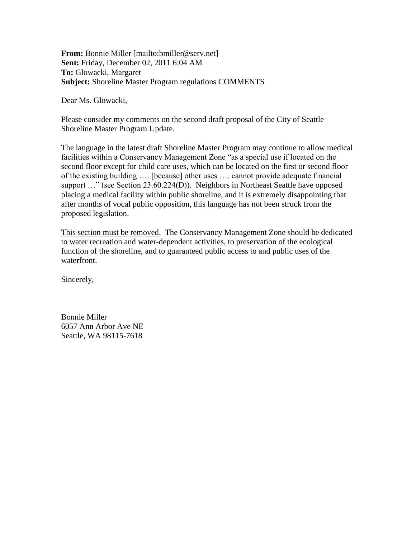**From:** Bonnie Miller [mailto:bmiller@serv.net] **Sent:** Friday, December 02, 2011 6:04 AM **To:** Glowacki, Margaret **Subject:** Shoreline Master Program regulations COMMENTS

Dear Ms. Glowacki,

Please consider my comments on the second draft proposal of the City of Seattle Shoreline Master Program Update.

The language in the latest draft Shoreline Master Program may continue to allow medical facilities within a Conservancy Management Zone "as a special use if located on the second floor except for child care uses, which can be located on the first or second floor of the existing building …. [because] other uses …. cannot provide adequate financial support ..." (see Section 23.60.224(D)). Neighbors in Northeast Seattle have opposed placing a medical facility within public shoreline, and it is extremely disappointing that after months of vocal public opposition, this language has not been struck from the proposed legislation.

This section must be removed. The Conservancy Management Zone should be dedicated to water recreation and water-dependent activities, to preservation of the ecological function of the shoreline, and to guaranteed public access to and public uses of the waterfront.

Sincerely,

Bonnie Miller 6057 Ann Arbor Ave NE Seattle, WA 98115-7618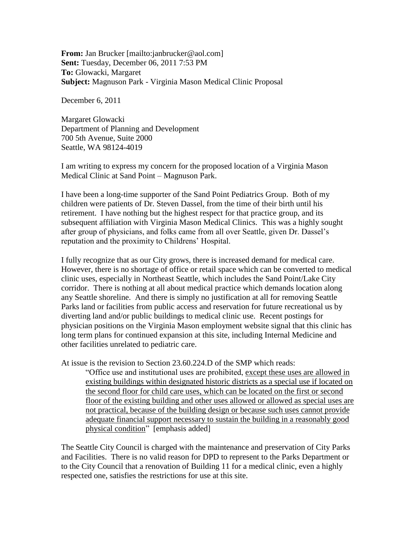**From:** Jan Brucker [mailto:janbrucker@aol.com] **Sent:** Tuesday, December 06, 2011 7:53 PM **To:** Glowacki, Margaret **Subject:** Magnuson Park - Virginia Mason Medical Clinic Proposal

December 6, 2011

Margaret Glowacki Department of Planning and Development 700 5th Avenue, Suite 2000 Seattle, WA 98124-4019

I am writing to express my concern for the proposed location of a Virginia Mason Medical Clinic at Sand Point – Magnuson Park.

I have been a long-time supporter of the Sand Point Pediatrics Group. Both of my children were patients of Dr. Steven Dassel, from the time of their birth until his retirement. I have nothing but the highest respect for that practice group, and its subsequent affiliation with Virginia Mason Medical Clinics. This was a highly sought after group of physicians, and folks came from all over Seattle, given Dr. Dassel's reputation and the proximity to Childrens' Hospital.

I fully recognize that as our City grows, there is increased demand for medical care. However, there is no shortage of office or retail space which can be converted to medical clinic uses, especially in Northeast Seattle, which includes the Sand Point/Lake City corridor. There is nothing at all about medical practice which demands location along any Seattle shoreline. And there is simply no justification at all for removing Seattle Parks land or facilities from public access and reservation for future recreational us by diverting land and/or public buildings to medical clinic use. Recent postings for physician positions on the Virginia Mason employment website signal that this clinic has long term plans for continued expansion at this site, including Internal Medicine and other facilities unrelated to pediatric care.

At issue is the revision to Section 23.60.224.D of the SMP which reads:

"Office use and institutional uses are prohibited, except these uses are allowed in existing buildings within designated historic districts as a special use if located on the second floor for child care uses, which can be located on the first or second floor of the existing building and other uses allowed or allowed as special uses are not practical, because of the building design or because such uses cannot provide adequate financial support necessary to sustain the building in a reasonably good physical condition" [emphasis added]

The Seattle City Council is charged with the maintenance and preservation of City Parks and Facilities. There is no valid reason for DPD to represent to the Parks Department or to the City Council that a renovation of Building 11 for a medical clinic, even a highly respected one, satisfies the restrictions for use at this site.